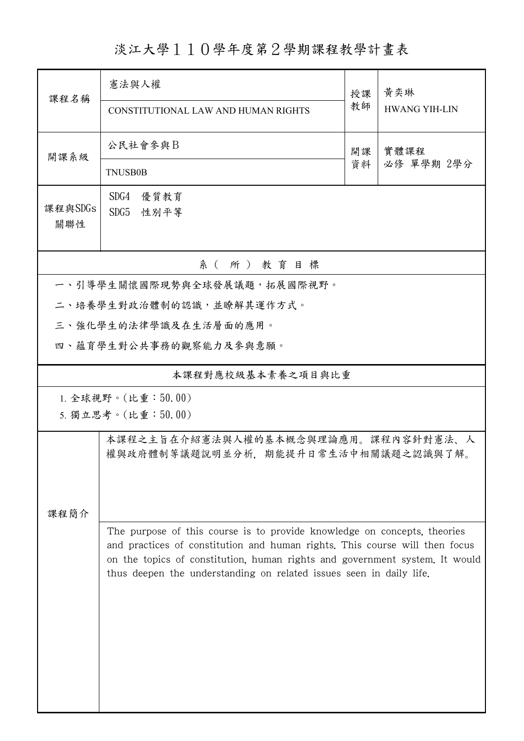## 淡江大學110學年度第2學期課程教學計畫表

| 課程名稱                                     | 憲法與人權                                                                                                                                                                                                                                                                                                         | 授課 | 黃奕琳                  |  |  |  |  |  |
|------------------------------------------|---------------------------------------------------------------------------------------------------------------------------------------------------------------------------------------------------------------------------------------------------------------------------------------------------------------|----|----------------------|--|--|--|--|--|
|                                          | CONSTITUTIONAL LAW AND HUMAN RIGHTS                                                                                                                                                                                                                                                                           | 教師 | <b>HWANG YIH-LIN</b> |  |  |  |  |  |
| 開課系級                                     | 公民社會參與B                                                                                                                                                                                                                                                                                                       | 開課 | 實體課程<br>必修 單學期 2學分   |  |  |  |  |  |
|                                          | <b>TNUSB0B</b>                                                                                                                                                                                                                                                                                                | 資料 |                      |  |  |  |  |  |
| 課程與SDGs<br>關聯性                           | SDG4<br>優質教育<br>SDG5<br>性別平等                                                                                                                                                                                                                                                                                  |    |                      |  |  |  |  |  |
| 系(所)教育目標                                 |                                                                                                                                                                                                                                                                                                               |    |                      |  |  |  |  |  |
| 一、引導學生關懷國際現勢與全球發展議題,拓展國際視野。              |                                                                                                                                                                                                                                                                                                               |    |                      |  |  |  |  |  |
|                                          | 二、培養學生對政治體制的認識,並瞭解其運作方式。                                                                                                                                                                                                                                                                                      |    |                      |  |  |  |  |  |
|                                          | 三、強化學生的法律學識及在生活層面的應用。                                                                                                                                                                                                                                                                                         |    |                      |  |  |  |  |  |
|                                          | 四、蘊育學生對公共事務的觀察能力及參與意願。                                                                                                                                                                                                                                                                                        |    |                      |  |  |  |  |  |
|                                          | 本課程對應校級基本素養之項目與比重                                                                                                                                                                                                                                                                                             |    |                      |  |  |  |  |  |
| 1. 全球視野。(比重:50.00)<br>5. 獨立思考。(比重:50.00) |                                                                                                                                                                                                                                                                                                               |    |                      |  |  |  |  |  |
| 課程簡介                                     | 本課程之主旨在介紹憲法與人權的基本概念與理論應用。課程內容針對憲法、人<br>權與政府體制等議題說明並分析,期能提升日常生活中相關議題之認識與了解。                                                                                                                                                                                                                                    |    |                      |  |  |  |  |  |
|                                          | The purpose of this course is to provide knowledge on concepts, theories<br>and practices of constitution and human rights. This course will then focus<br>on the topics of constitution, human rights and government system. It would<br>thus deepen the understanding on related issues seen in daily life. |    |                      |  |  |  |  |  |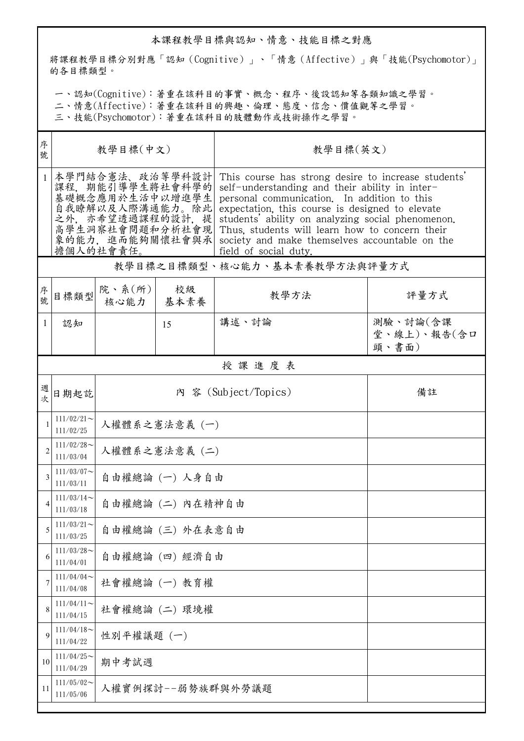## 本課程教學目標與認知、情意、技能目標之對應

將課程教學目標分別對應「認知(Cognitive)」、「情意(Affective)」與「技能(Psychomotor)」 的各目標類型。

一、認知(Cognitive):著重在該科目的事實、概念、程序、後設認知等各類知識之學習。

二、情意(Affective):著重在該科目的興趣、倫理、態度、信念、價值觀等之學習。

三、技能(Psychomotor):著重在該科目的肢體動作或技術操作之學習。

| 序<br>教學目標(中文)<br>號                                                                                                                                |                      |            | 教學目標(英文)                                                                                                                                                                                                                                                                                                                                                                                  |                                                                           |  |  |
|---------------------------------------------------------------------------------------------------------------------------------------------------|----------------------|------------|-------------------------------------------------------------------------------------------------------------------------------------------------------------------------------------------------------------------------------------------------------------------------------------------------------------------------------------------------------------------------------------------|---------------------------------------------------------------------------|--|--|
| 本學門結合憲法、政治等學科設計<br>課程,期能引導學生將社會科學的<br>基礎概念應用於生活中以增進學生<br>自我瞭解以及人際溝通能力。除此 <br>之外,亦希望透過課程的設計,提<br>高學生洞察社會問題和分析社會現 <br>象的能力,進而能夠關懷社會與承 <br>擔個人的社會責任。 |                      |            | This course has strong desire to increase students'<br>self-understanding and their ability in inter-<br>personal communication. In addition to this<br>expectation, this course is designed to elevate<br>students' ability on analyzing social phenomenon.<br>Thus, students will learn how to concern their<br>society and make themselves accountable on the<br>field of social duty. |                                                                           |  |  |
| 教學目標之目標類型、核心能力、基本素養教學方法與評量方式                                                                                                                      |                      |            |                                                                                                                                                                                                                                                                                                                                                                                           |                                                                           |  |  |
| 目標類型                                                                                                                                              | 核心能力                 | 校級<br>基本素養 | 教學方法                                                                                                                                                                                                                                                                                                                                                                                      | 評量方式                                                                      |  |  |
| 認知                                                                                                                                                |                      | 15         | 講述、討論                                                                                                                                                                                                                                                                                                                                                                                     | 測驗、討論(含課<br>堂、線上)、報告(含口<br>頭、書面)                                          |  |  |
| 授課進度表                                                                                                                                             |                      |            |                                                                                                                                                                                                                                                                                                                                                                                           |                                                                           |  |  |
| 日期起訖                                                                                                                                              | 內 容 (Subject/Topics) |            |                                                                                                                                                                                                                                                                                                                                                                                           | 備註                                                                        |  |  |
| $111/02/21$ ~<br>111/02/25                                                                                                                        | 人權體系之憲法意義 (一)        |            |                                                                                                                                                                                                                                                                                                                                                                                           |                                                                           |  |  |
| $111/02/28$ ~<br>111/03/04                                                                                                                        | 人權體系之憲法意義 (二)        |            |                                                                                                                                                                                                                                                                                                                                                                                           |                                                                           |  |  |
| $111/03/07$ ~<br>111/03/11                                                                                                                        |                      |            |                                                                                                                                                                                                                                                                                                                                                                                           |                                                                           |  |  |
| $111/03/14$ ~<br>111/03/18                                                                                                                        |                      |            |                                                                                                                                                                                                                                                                                                                                                                                           |                                                                           |  |  |
| $111/03/21$ ~<br>111/03/25                                                                                                                        |                      |            |                                                                                                                                                                                                                                                                                                                                                                                           |                                                                           |  |  |
| $111/03/28$ ~<br>111/04/01                                                                                                                        | 自由權總論 (四) 經濟自由       |            |                                                                                                                                                                                                                                                                                                                                                                                           |                                                                           |  |  |
| $111/04/04$ ~<br>111/04/08                                                                                                                        |                      |            |                                                                                                                                                                                                                                                                                                                                                                                           |                                                                           |  |  |
| $111/04/11$ ~<br>111/04/15                                                                                                                        |                      |            |                                                                                                                                                                                                                                                                                                                                                                                           |                                                                           |  |  |
| $111/04/18$ ~<br>111/04/22                                                                                                                        |                      |            |                                                                                                                                                                                                                                                                                                                                                                                           |                                                                           |  |  |
| $111/04/25$ ~<br>111/04/29                                                                                                                        | 期中考試週                |            |                                                                                                                                                                                                                                                                                                                                                                                           |                                                                           |  |  |
| $111/05/02$ ~<br>111/05/06                                                                                                                        |                      |            |                                                                                                                                                                                                                                                                                                                                                                                           |                                                                           |  |  |
|                                                                                                                                                   |                      |            | 院、系 $(\text{m})$<br>社會權總論 (一) 教育權<br>社會權總論 (二) 環境權<br>性別平權議題 (一)                                                                                                                                                                                                                                                                                                                          | 自由權總論(一)人身自由<br>自由權總論 (二) 内在精神自由<br>自由權總論 (三) 外在表意自由<br>人權實例探討--弱勢族群與外勞議題 |  |  |